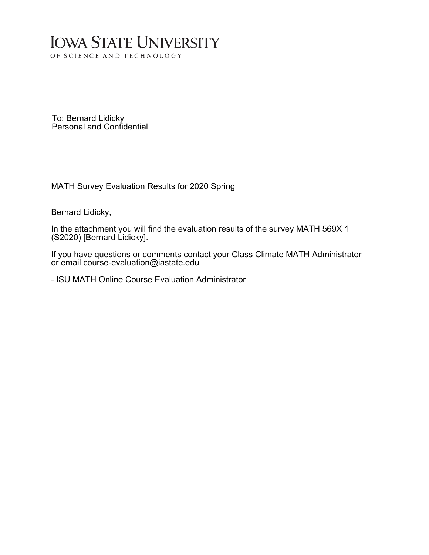### **IOWA STATE UNIVERSITY** OF SCIENCE AND TECHNOLOGY

To: Bernard Lidicky Personal and Confidential

MATH Survey Evaluation Results for 2020 Spring

Bernard Lidicky,

In the attachment you will find the evaluation results of the survey MATH 569X 1 (S2020) [Bernard Lidicky].

If you have questions or comments contact your Class Climate MATH Administrator or email course-evaluation@iastate.edu

- ISU MATH Online Course Evaluation Administrator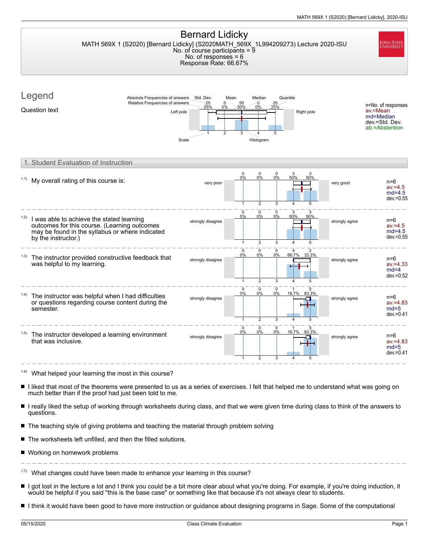| <b>Bernard Lidicky</b><br><b>IOWA STATE</b><br>UNIVERSITY<br>MATH 569X 1 (S2020) [Bernard Lidicky] (S2020MATH_569X_1L994209273) Lecture 2020-ISU<br>No. of course participants = $\overline{9}$<br>No. of responses $= 6$<br>Response Rate: 66.67% |                                                                                     |                         |                                                               |                                       |                |                                                                                 |
|----------------------------------------------------------------------------------------------------------------------------------------------------------------------------------------------------------------------------------------------------|-------------------------------------------------------------------------------------|-------------------------|---------------------------------------------------------------|---------------------------------------|----------------|---------------------------------------------------------------------------------|
| Legend<br>Absolute Frequencies of answers<br>Relative Frequencies of answers<br>Question text                                                                                                                                                      | Std. Dev.<br>25<br>$\mathbf 0$<br>25%<br>0%<br>Left pole<br>$\overline{2}$<br>Scale | Mean<br>50<br>50%<br>3  | Median<br>0<br>25<br>0%<br>25%<br>5<br>Histogram              | Quantile<br>Right pole                |                | n=No. of responses<br>av.=Mean<br>md=Median<br>dev.=Std. Dev.<br>ab.=Abstention |
| 1. Student Evaluation of Instruction                                                                                                                                                                                                               |                                                                                     |                         |                                                               |                                       |                |                                                                                 |
| My overall rating of this course is:                                                                                                                                                                                                               | very poor                                                                           | $\mathbf 0$<br>0%       | $\mathbf 0$<br>$\mathbf 0$<br>0%<br>0%<br>$\overline{2}$<br>3 | 3<br>3<br>50%<br>50%<br>4<br>5        | very good      | $n=6$<br>$av = 4.5$<br>$md=4.5$<br>$dev = 0.55$                                 |
| (1.2)<br>I was able to achieve the stated learning<br>outcomes for this course. (Learning outcomes<br>may be found in the syllabus or where indicated<br>by the instructor.)                                                                       | strongly disagree                                                                   | 0<br>0%<br>$\mathbf{1}$ | $\mathbf 0$<br>$\mathbf 0$<br>0%<br>0%<br>$\overline{2}$<br>3 | 3<br>3<br>50%<br>50%<br>4<br>5        | strongly agree | $n=6$<br>$av = 4.5$<br>$md=4.5$<br>$dev = 0.55$                                 |
| (1.3)<br>The instructor provided constructive feedback that<br>was helpful to my learning.                                                                                                                                                         | strongly disagree                                                                   | 0<br>0%<br>$\mathbf{1}$ | 0<br>0<br>0%<br>0%<br>$\overline{2}$<br>3                     | 66.7%<br>33.3%<br>5                   | strongly agree | $n=6$<br>$av = 4.33$<br>$md=4$<br>$dev = 0.52$                                  |
| (1.4)<br>The instructor was helpful when I had difficulties<br>or questions regarding course content during the<br>semester.                                                                                                                       | strongly disagree                                                                   | 0<br>0%                 | $\mathbf 0$<br>$\mathbf 0$<br>0%<br>0%<br>$\overline{2}$<br>3 | 16.7%<br>83.3%<br>$\overline{4}$<br>5 | strongly agree | $n=6$<br>$av = 4.83$<br>$md=5$<br>$dev = 0.41$                                  |
| The instructor developed a learning environment<br>that was inclusive.                                                                                                                                                                             | strongly disagree                                                                   | 0<br>0%                 | 0<br>0<br>0%<br>0%                                            | 16.7%<br>83.3%<br>ο                   | strongly agree | $n=6$<br>$av = 4.83$<br>$md=5$<br>$dev = 0.41$                                  |
| <sup>1.6)</sup> What helped your learning the most in this course?                                                                                                                                                                                 |                                                                                     |                         |                                                               |                                       |                |                                                                                 |
| I liked that most of the theorems were presented to us as a series of exercises. I felt that helped me to understand what was going on<br>much better than if the proof had just been told to me.                                                  |                                                                                     |                         |                                                               |                                       |                |                                                                                 |
| I really liked the setup of working through worksheets during class, and that we were given time during class to think of the answers to<br>questions.                                                                                             |                                                                                     |                         |                                                               |                                       |                |                                                                                 |
| The teaching style of giving problems and teaching the material through problem solving                                                                                                                                                            |                                                                                     |                         |                                                               |                                       |                |                                                                                 |
| The worksheets left unfilled, and then the filled solutions.                                                                                                                                                                                       |                                                                                     |                         |                                                               |                                       |                |                                                                                 |
| ■ Working on homework problems                                                                                                                                                                                                                     |                                                                                     |                         |                                                               |                                       |                |                                                                                 |
| What changes could have been made to enhance your learning in this course?                                                                                                                                                                         |                                                                                     |                         |                                                               |                                       |                |                                                                                 |

I got lost in the lecture a lot and I think you could be a bit more clear about what you're doing. For example, if you're doing induction, it would be helpful if you said "this is the base case" or something like that because it's not always clear to students.

I I think it would have been good to have more instruction or guidance about designing programs in Sage. Some of the computational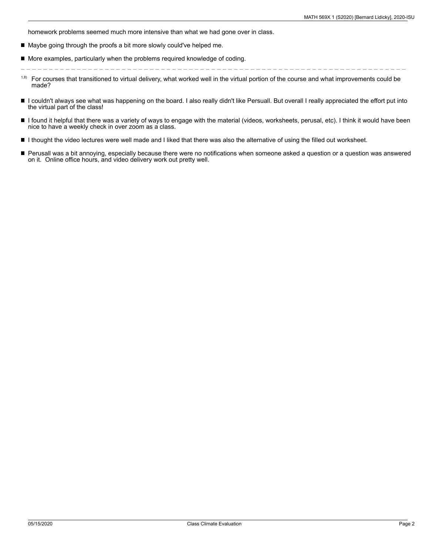homework problems seemed much more intensive than what we had gone over in class.

- $\blacksquare$ Maybe going through the proofs a bit more slowly could've helped me.
- $\blacksquare$  More examples, particularly when the problems required knowledge of coding.

- For courses that transitioned to virtual delivery, what worked well in the virtual portion of the course and what improvements could be made? 1.8)
- I couldn't always see what was happening on the board. I also really didn't like Persuall. But overall I really appreciated the effort put into the virtual part of the class!
- $\blacksquare$ I found it helpful that there was a variety of ways to engage with the material (videos, worksheets, perusal, etc). I think it would have been nice to have a weekly check in over zoom as a class.
- I thought the video lectures were well made and I liked that there was also the alternative of using the filled out worksheet.
- Perusall was a bit annoying, especially because there were no notifications when someone asked a question or a question was answered on it. Online office hours, and video delivery work out pretty well.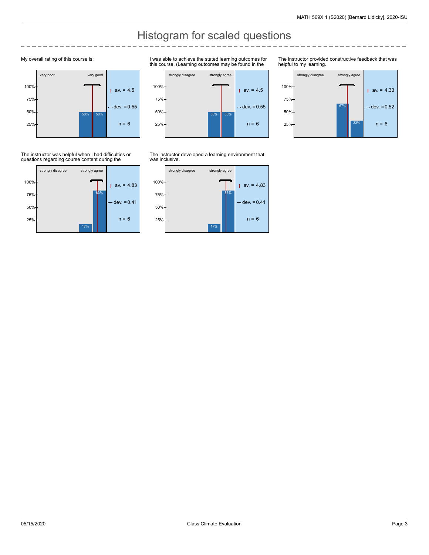## Histogram for scaled questions

### My overall rating of this course is:



The instructor was helpful when I had difficulties or questions regarding course content during the



I was able to achieve the stated learning outcomes for this course. (Learning outcomes may be found in the



The instructor provided constructive feedback that was helpful to my learning.



The instructor developed a learning environment that was inclusive.